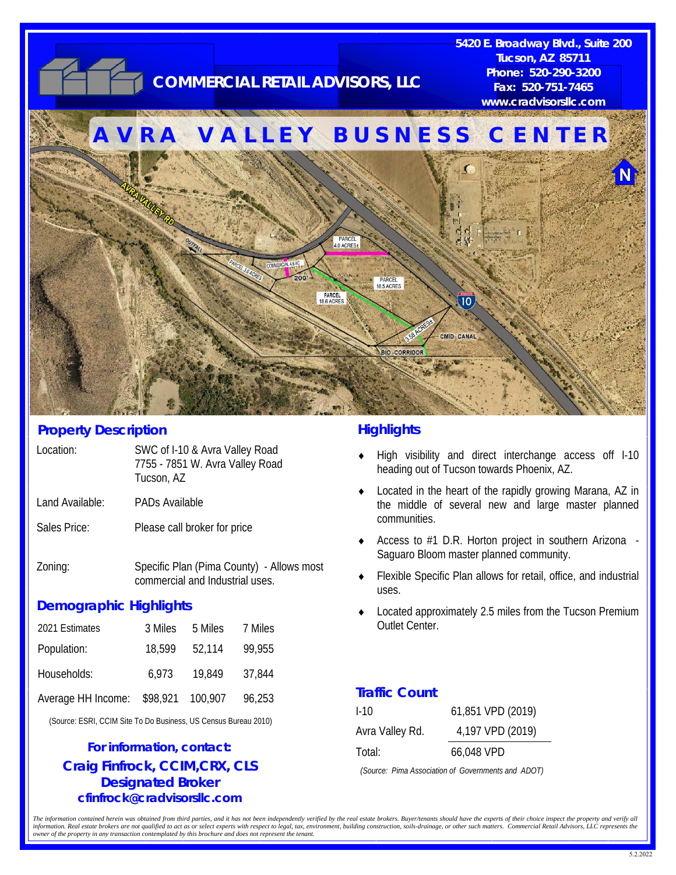

#### **Property Description**

| Location:       | SWC of I-10 & Avra Valley Road<br>7755 - 7851 W. Avra Valley Road<br>Tucson, AZ |
|-----------------|---------------------------------------------------------------------------------|
| Land Available: | <b>PADs Available</b>                                                           |
| Sales Price:    | Please call broker for price                                                    |
| −7∩nin∩∙        | Snecific Plan (Pima County) - Allows i                                          |

Zoning: Specific Plan (Pima County) - Allows most commercial and Industrial uses.

## **Demographic Highlights**

| 2021 Estimates     | 3 Miles | 5 Miles          | 7 Miles |
|--------------------|---------|------------------|---------|
| Population:        | 18,599  | 52,114           | 99,955  |
| Households:        | 6.973   | 19,849           | 37,844  |
| Average HH Income: |         | \$98,921 100,907 | 96,253  |

(Source: ESRI, CCIM Site To Do Business, US Census Bureau 2010)

### **Craig Finfrock, CCIM,CRX, CLS Designated Broker cfinfrock@cradvisorsllc.com For information, contact:**

#### **Highlights**

- High visibility and direct interchange access off I-10 heading out of Tucson towards Phoenix, AZ.
- Located in the heart of the rapidly growing Marana, AZ in the middle of several new and large master planned communities.
- Access to #1 D.R. Horton project in southern Arizona -Saguaro Bloom master planned community.
- Flexible Specific Plan allows for retail, office, and industrial uses.
- Located approximately 2.5 miles from the Tucson Premium Outlet Center.

#### **Traffic Count**

| $1-10$          | 61,851 VPD (2019) |
|-----------------|-------------------|
| Avra Valley Rd. | 4,197 VPD (2019)  |
| Total:          | 66,048 VPD        |

*(Source: Pima Association of Governments and ADOT)* 

The information contained herein was obtained from third parties, and it has not been independently verified by the real estate brokers. Buyer/tenants should have the experts of their choice inspect the property and verify information. Real estate brokers are not qualified to act as or select experts with respect to legal, tax, environment, building construction, soils-drainage, or other such matters. Commercial Retail Advisors, LLC represen *owner of the property in any transaction contemplated by this brochure and does not represent the tenant.*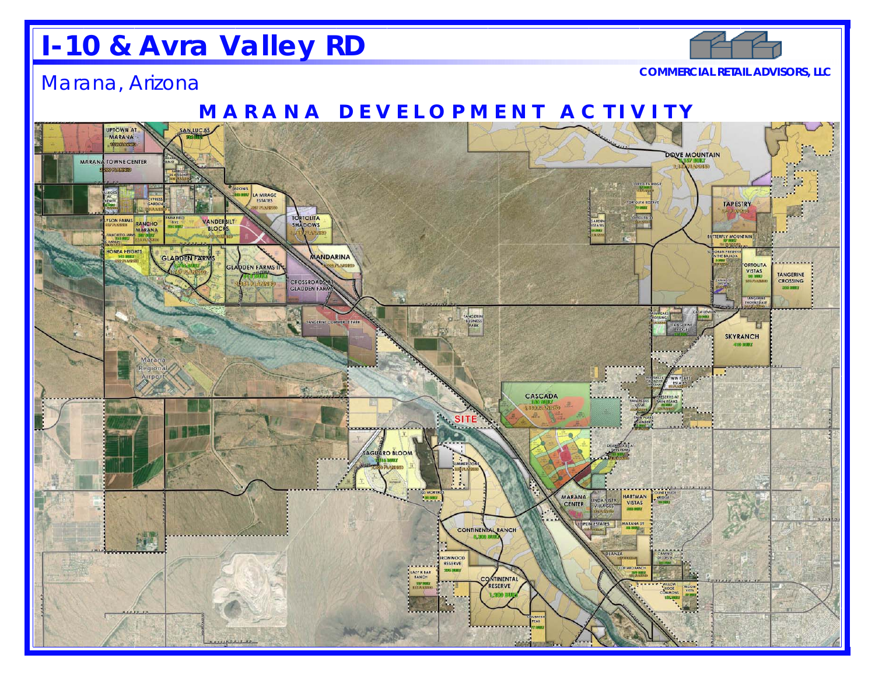# **I-10 & Avra Valley RD**

# Marana, Arizona

**COMMERCIAL RETAIL ADVISORS, LLC**